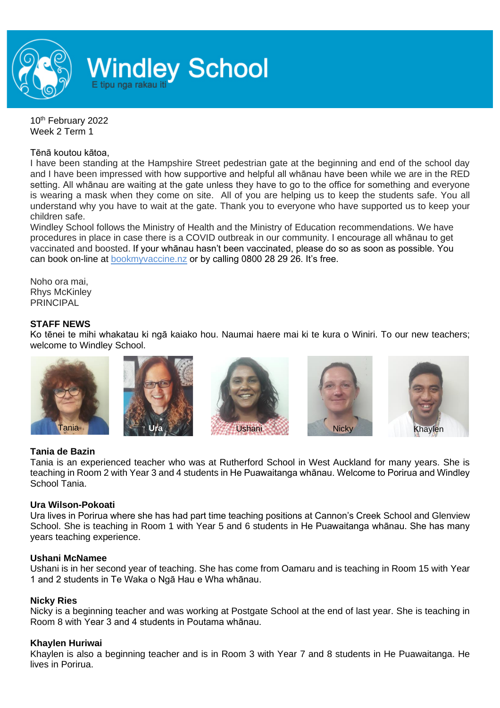

10<sup>th</sup> February 2022 Week 2 Term 1

#### Tēnā koutou kātoa,

I have been standing at the Hampshire Street pedestrian gate at the beginning and end of the school day and I have been impressed with how supportive and helpful all whānau have been while we are in the RED setting. All whānau are waiting at the gate unless they have to go to the office for something and everyone is wearing a mask when they come on site. All of you are helping us to keep the students safe. You all understand why you have to wait at the gate. Thank you to everyone who have supported us to keep your children safe.

Windley School follows the Ministry of Health and the Ministry of Education recommendations. We have procedures in place in case there is a COVID outbreak in our community. I encourage all whānau to get vaccinated and boosted. If your whānau hasn't been vaccinated, please do so as soon as possible. You can book on-line at [bookmyvaccine.nz](http://bookmyvaccine.nz/) or by calling 0800 28 29 26. It's free.

Noho ora mai, Rhys McKinley **PRINCIPAL** 

#### **STAFF NEWS**

Ko tēnei te mihi whakatau ki ngā kaiako hou. Naumai haere mai ki te kura o Winiri. To our new teachers; welcome to Windley School.











### **Tania de Bazin**

Tania is an experienced teacher who was at Rutherford School in West Auckland for many years. She is teaching in Room 2 with Year 3 and 4 students in He Puawaitanga whānau. Welcome to Porirua and Windley School Tania.

### **Ura Wilson-Pokoati**

Ura lives in Porirua where she has had part time teaching positions at Cannon's Creek School and Glenview School. She is teaching in Room 1 with Year 5 and 6 students in He Puawaitanga whānau. She has many years teaching experience.

#### **Ushani McNamee**

Ushani is in her second year of teaching. She has come from Oamaru and is teaching in Room 15 with Year 1 and 2 students in Te Waka o Ngā Hau e Wha whānau.

### **Nicky Ries**

Nicky is a beginning teacher and was working at Postgate School at the end of last year. She is teaching in Room 8 with Year 3 and 4 students in Poutama whānau.

### **Khaylen Huriwai**

Khaylen is also a beginning teacher and is in Room 3 with Year 7 and 8 students in He Puawaitanga. He lives in Porirua.